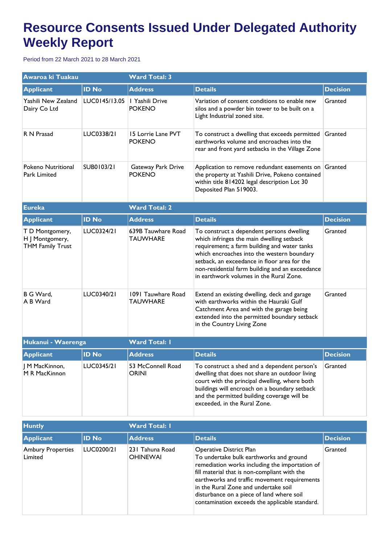## **Resource Consents Issued Under Delegated Authority Weekly Report**

Period from 22 March 2021 to 28 March 2021

| Awaroa ki Tuakau                                              |               | <b>Ward Total: 3</b>                  |                                                                                                                                                                                                                                                                                                                                    |                 |  |
|---------------------------------------------------------------|---------------|---------------------------------------|------------------------------------------------------------------------------------------------------------------------------------------------------------------------------------------------------------------------------------------------------------------------------------------------------------------------------------|-----------------|--|
| <b>Applicant</b>                                              | <b>ID No</b>  | <b>Address</b>                        | <b>Details</b>                                                                                                                                                                                                                                                                                                                     | <b>Decision</b> |  |
| Yashili New Zealand<br>Dairy Co Ltd                           | LUC0145/13.05 | I Yashili Drive<br><b>POKENO</b>      | Variation of consent conditions to enable new<br>silos and a powder bin tower to be built on a<br>Light Industrial zoned site.                                                                                                                                                                                                     | Granted         |  |
| R N Prasad                                                    | LUC0338/21    | 15 Lorrie Lane PVT<br><b>POKENO</b>   | To construct a dwelling that exceeds permitted<br>earthworks volume and encroaches into the<br>rear and front yard setbacks in the Village Zone                                                                                                                                                                                    | Granted         |  |
| Pokeno Nutritional<br>Park Limited                            | SUB0103/21    | Gateway Park Drive<br><b>POKENO</b>   | Application to remove redundant easements on<br>the property at Yashili Drive, Pokeno contained<br>within title 814202 legal description Lot 30<br>Deposited Plan 519003.                                                                                                                                                          | Granted         |  |
| <b>Eureka</b>                                                 |               | <b>Ward Total: 2</b>                  |                                                                                                                                                                                                                                                                                                                                    |                 |  |
| <b>Applicant</b>                                              | <b>ID No</b>  | <b>Address</b>                        | <b>Details</b>                                                                                                                                                                                                                                                                                                                     | <b>Decision</b> |  |
| T D Montgomery,<br>H J Montgomery,<br><b>THM Family Trust</b> | LUC0324/21    | 639B Tauwhare Road<br><b>TAUWHARE</b> | To construct a dependent persons dwelling<br>which infringes the main dwelling setback<br>requirement; a farm building and water tanks<br>which encroaches into the western boundary<br>setback, an exceedance in floor area for the<br>non-residential farm building and an exceedance<br>in earthwork volumes in the Rural Zone. | Granted         |  |
| B G Ward,<br>A B Ward                                         | LUC0340/21    | 1091 Tauwhare Road<br><b>TAUWHARE</b> | Extend an existing dwelling, deck and garage<br>with earthworks within the Hauraki Gulf<br>Catchment Area and with the garage being<br>extended into the permitted boundary setback<br>in the Country Living Zone                                                                                                                  | Granted         |  |
| Hukanui - Waerenga                                            |               | <b>Ward Total: I</b>                  |                                                                                                                                                                                                                                                                                                                                    |                 |  |
| <b>Applicant</b>                                              | <b>ID No</b>  | <b>Address</b>                        | <b>Details</b>                                                                                                                                                                                                                                                                                                                     | <b>Decision</b> |  |
| J M MacKinnon,<br>M R MacKinnon                               | LUC0345/21    | 53 McConnell Road<br><b>ORINI</b>     | To construct a shed and a dependent person's<br>dwelling that does not share an outdoor living<br>court with the principal dwelling, where both<br>buildings will encroach on a boundary setback<br>and the permitted building coverage will be<br>exceeded, in the Rural Zone.                                                    | Granted         |  |

| <b>Huntly</b>                       |              | <b>Ward Total: I</b>               |                                                                                                                                                                                                                                                                                                                                                             |                 |  |
|-------------------------------------|--------------|------------------------------------|-------------------------------------------------------------------------------------------------------------------------------------------------------------------------------------------------------------------------------------------------------------------------------------------------------------------------------------------------------------|-----------------|--|
| Applicant                           | <b>ID No</b> | <b>Address</b>                     | <b>Details</b>                                                                                                                                                                                                                                                                                                                                              | <b>Decision</b> |  |
| <b>Ambury Properties</b><br>Limited | LUC0200/21   | 231 Tahuna Road<br><b>OHINEWAI</b> | Operative District Plan<br>To undertake bulk earthworks and ground<br>remediation works including the importation of<br>fill material that is non-compliant with the<br>earthworks and traffic movement requirements<br>in the Rural Zone and undertake soil<br>disturbance on a piece of land where soil<br>contamination exceeds the applicable standard. | Granted         |  |